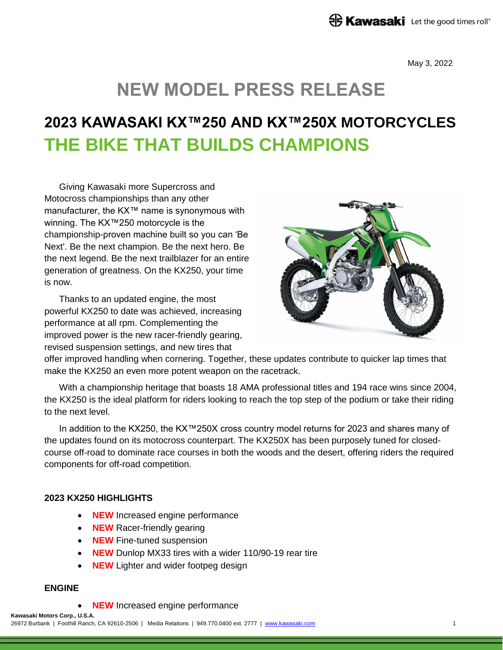May 3, 2022

# **NEW MODEL PRESS RELEASE**

# **2023 KAWASAKI KX™250 AND KX™250X MOTORCYCLES THE BIKE THAT BUILDS CHAMPIONS**

Giving Kawasaki more Supercross and Motocross championships than any other manufacturer, the KX™ name is synonymous with winning. The KX™250 motorcycle is the championship-proven machine built so you can 'Be Next'. Be the next champion. Be the next hero. Be the next legend. Be the next trailblazer for an entire generation of greatness. On the KX250, your time is now.

Thanks to an updated engine, the most powerful KX250 to date was achieved, increasing performance at all rpm. Complementing the improved power is the new racer-friendly gearing, revised suspension settings, and new tires that



offer improved handling when cornering. Together, these updates contribute to quicker lap times that make the KX250 an even more potent weapon on the racetrack.

With a championship heritage that boasts 18 AMA professional titles and 194 race wins since 2004, the KX250 is the ideal platform for riders looking to reach the top step of the podium or take their riding to the next level.

In addition to the KX250, the KX™250X cross country model returns for 2023 and shares many of the updates found on its motocross counterpart. The KX250X has been purposely tuned for closedcourse off-road to dominate race courses in both the woods and the desert, offering riders the required components for off-road competition.

### **2023 KX250 HIGHLIGHTS**

- **NEW** Increased engine performance
- **NEW** Racer-friendly gearing
- **NEW** Fine-tuned suspension
- **NEW** Dunlop MX33 tires with a wider 110/90-19 rear tire
- **NEW** Lighter and wider footpeg design

## **ENGINE**

**NEW** Increased engine performance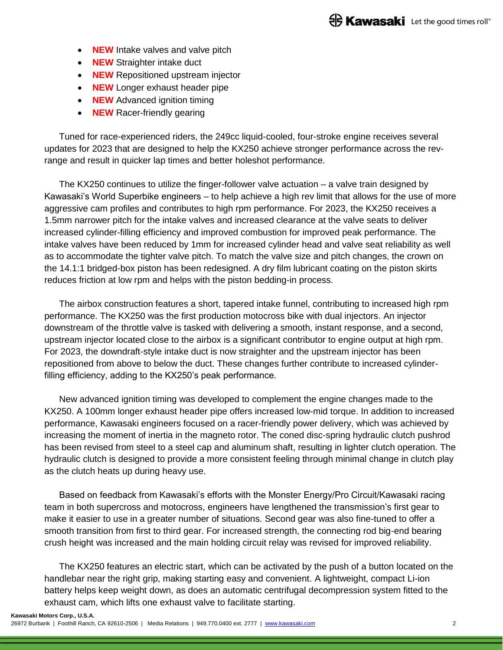- **NEW** Intake valves and valve pitch
- **NEW** Straighter intake duct
- **NEW** Repositioned upstream injector
- **NEW** Longer exhaust header pipe
- **NEW** Advanced ignition timing
- **NEW** Racer-friendly gearing

Tuned for race-experienced riders, the 249cc liquid-cooled, four-stroke engine receives several updates for 2023 that are designed to help the KX250 achieve stronger performance across the revrange and result in quicker lap times and better holeshot performance.

The KX250 continues to utilize the finger-follower valve actuation – a valve train designed by Kawasaki's World Superbike engineers – to help achieve a high rev limit that allows for the use of more aggressive cam profiles and contributes to high rpm performance. For 2023, the KX250 receives a 1.5mm narrower pitch for the intake valves and increased clearance at the valve seats to deliver increased cylinder-filling efficiency and improved combustion for improved peak performance. The intake valves have been reduced by 1mm for increased cylinder head and valve seat reliability as well as to accommodate the tighter valve pitch. To match the valve size and pitch changes, the crown on the 14.1:1 bridged-box piston has been redesigned. A dry film lubricant coating on the piston skirts reduces friction at low rpm and helps with the piston bedding-in process.

The airbox construction features a short, tapered intake funnel, contributing to increased high rpm performance. The KX250 was the first production motocross bike with dual injectors. An injector downstream of the throttle valve is tasked with delivering a smooth, instant response, and a second, upstream injector located close to the airbox is a significant contributor to engine output at high rpm. For 2023, the downdraft-style intake duct is now straighter and the upstream injector has been repositioned from above to below the duct. These changes further contribute to increased cylinderfilling efficiency, adding to the KX250's peak performance.

New advanced ignition timing was developed to complement the engine changes made to the KX250. A 100mm longer exhaust header pipe offers increased low-mid torque. In addition to increased performance, Kawasaki engineers focused on a racer-friendly power delivery, which was achieved by increasing the moment of inertia in the magneto rotor. The coned disc-spring hydraulic clutch pushrod has been revised from steel to a steel cap and aluminum shaft, resulting in lighter clutch operation. The hydraulic clutch is designed to provide a more consistent feeling through minimal change in clutch play as the clutch heats up during heavy use.

Based on feedback from Kawasaki's efforts with the Monster Energy/Pro Circuit/Kawasaki racing team in both supercross and motocross, engineers have lengthened the transmission's first gear to make it easier to use in a greater number of situations. Second gear was also fine-tuned to offer a smooth transition from first to third gear. For increased strength, the connecting rod big-end bearing crush height was increased and the main holding circuit relay was revised for improved reliability.

The KX250 features an electric start, which can be activated by the push of a button located on the handlebar near the right grip, making starting easy and convenient. A lightweight, compact Li-ion battery helps keep weight down, as does an automatic centrifugal decompression system fitted to the exhaust cam, which lifts one exhaust valve to facilitate starting.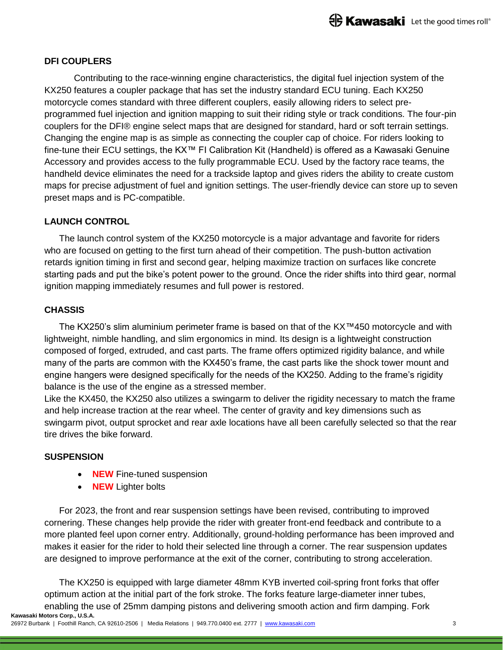# **DFI COUPLERS**

Contributing to the race-winning engine characteristics, the digital fuel injection system of the KX250 features a coupler package that has set the industry standard ECU tuning. Each KX250 motorcycle comes standard with three different couplers, easily allowing riders to select preprogrammed fuel injection and ignition mapping to suit their riding style or track conditions. The four-pin couplers for the DFI® engine select maps that are designed for standard, hard or soft terrain settings. Changing the engine map is as simple as connecting the coupler cap of choice. For riders looking to fine-tune their ECU settings, the KX™ FI Calibration Kit (Handheld) is offered as a Kawasaki Genuine Accessory and provides access to the fully programmable ECU. Used by the factory race teams, the handheld device eliminates the need for a trackside laptop and gives riders the ability to create custom maps for precise adjustment of fuel and ignition settings. The user-friendly device can store up to seven preset maps and is PC-compatible.

## **LAUNCH CONTROL**

The launch control system of the KX250 motorcycle is a major advantage and favorite for riders who are focused on getting to the first turn ahead of their competition. The push-button activation retards ignition timing in first and second gear, helping maximize traction on surfaces like concrete starting pads and put the bike's potent power to the ground. Once the rider shifts into third gear, normal ignition mapping immediately resumes and full power is restored.

### **CHASSIS**

The KX250's slim aluminium perimeter frame is based on that of the KX™450 motorcycle and with lightweight, nimble handling, and slim ergonomics in mind. Its design is a lightweight construction composed of forged, extruded, and cast parts. The frame offers optimized rigidity balance, and while many of the parts are common with the KX450's frame, the cast parts like the shock tower mount and engine hangers were designed specifically for the needs of the KX250. Adding to the frame's rigidity balance is the use of the engine as a stressed member.

Like the KX450, the KX250 also utilizes a swingarm to deliver the rigidity necessary to match the frame and help increase traction at the rear wheel. The center of gravity and key dimensions such as swingarm pivot, output sprocket and rear axle locations have all been carefully selected so that the rear tire drives the bike forward.

### **SUSPENSION**

- **NEW** Fine-tuned suspension
- **NEW** Lighter bolts

For 2023, the front and rear suspension settings have been revised, contributing to improved cornering. These changes help provide the rider with greater front-end feedback and contribute to a more planted feel upon corner entry. Additionally, ground-holding performance has been improved and makes it easier for the rider to hold their selected line through a corner. The rear suspension updates are designed to improve performance at the exit of the corner, contributing to strong acceleration.

**Kawasaki Motors Corp., U.S.A.** The KX250 is equipped with large diameter 48mm KYB inverted coil-spring front forks that offer optimum action at the initial part of the fork stroke. The forks feature large-diameter inner tubes, enabling the use of 25mm damping pistons and delivering smooth action and firm damping. Fork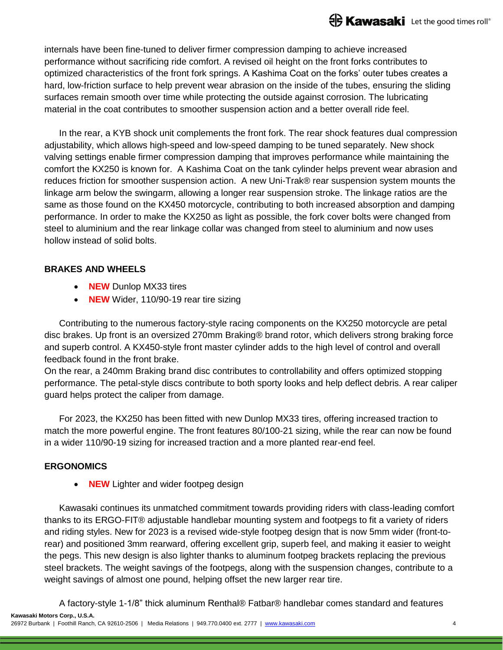internals have been fine-tuned to deliver firmer compression damping to achieve increased performance without sacrificing ride comfort. A revised oil height on the front forks contributes to optimized characteristics of the front fork springs. A Kashima Coat on the forks' outer tubes creates a hard, low-friction surface to help prevent wear abrasion on the inside of the tubes, ensuring the sliding surfaces remain smooth over time while protecting the outside against corrosion. The lubricating material in the coat contributes to smoother suspension action and a better overall ride feel.

In the rear, a KYB shock unit complements the front fork. The rear shock features dual compression adjustability, which allows high-speed and low-speed damping to be tuned separately. New shock valving settings enable firmer compression damping that improves performance while maintaining the comfort the KX250 is known for. A Kashima Coat on the tank cylinder helps prevent wear abrasion and reduces friction for smoother suspension action. A new Uni-Trak® rear suspension system mounts the linkage arm below the swingarm, allowing a longer rear suspension stroke. The linkage ratios are the same as those found on the KX450 motorcycle, contributing to both increased absorption and damping performance. In order to make the KX250 as light as possible, the fork cover bolts were changed from steel to aluminium and the rear linkage collar was changed from steel to aluminium and now uses hollow instead of solid bolts.

## **BRAKES AND WHEELS**

- **NEW** Dunlop MX33 tires
- **NEW** Wider, 110/90-19 rear tire sizing

Contributing to the numerous factory-style racing components on the KX250 motorcycle are petal disc brakes. Up front is an oversized 270mm Braking® brand rotor, which delivers strong braking force and superb control. A KX450-style front master cylinder adds to the high level of control and overall feedback found in the front brake.

On the rear, a 240mm Braking brand disc contributes to controllability and offers optimized stopping performance. The petal-style discs contribute to both sporty looks and help deflect debris. A rear caliper guard helps protect the caliper from damage.

For 2023, the KX250 has been fitted with new Dunlop MX33 tires, offering increased traction to match the more powerful engine. The front features 80/100-21 sizing, while the rear can now be found in a wider 110/90-19 sizing for increased traction and a more planted rear-end feel.

# **ERGONOMICS**

**NEW** Lighter and wider footpeg design

Kawasaki continues its unmatched commitment towards providing riders with class-leading comfort thanks to its ERGO-FIT® adjustable handlebar mounting system and footpegs to fit a variety of riders and riding styles. New for 2023 is a revised wide-style footpeg design that is now 5mm wider (front-torear) and positioned 3mm rearward, offering excellent grip, superb feel, and making it easier to weight the pegs. This new design is also lighter thanks to aluminum footpeg brackets replacing the previous steel brackets. The weight savings of the footpegs, along with the suspension changes, contribute to a weight savings of almost one pound, helping offset the new larger rear tire.

**Kawasaki Motors Corp., U.S.A.** A factory-style 1-1/8" thick aluminum Renthal® Fatbar® handlebar comes standard and features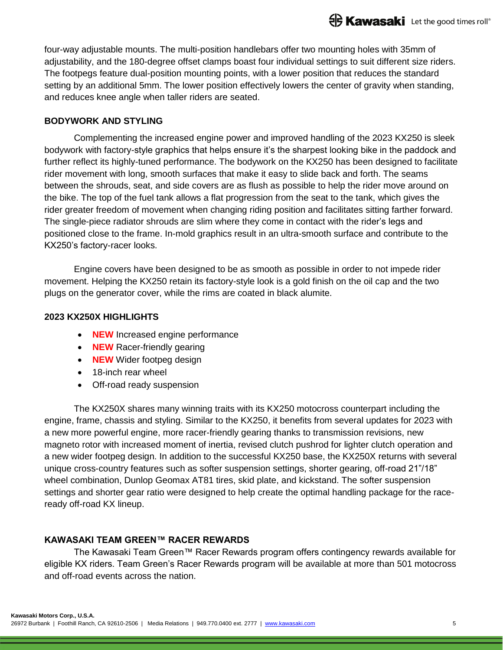four-way adjustable mounts. The multi-position handlebars offer two mounting holes with 35mm of adjustability, and the 180-degree offset clamps boast four individual settings to suit different size riders. The footpegs feature dual-position mounting points, with a lower position that reduces the standard setting by an additional 5mm. The lower position effectively lowers the center of gravity when standing, and reduces knee angle when taller riders are seated.

# **BODYWORK AND STYLING**

Complementing the increased engine power and improved handling of the 2023 KX250 is sleek bodywork with factory-style graphics that helps ensure it's the sharpest looking bike in the paddock and further reflect its highly-tuned performance. The bodywork on the KX250 has been designed to facilitate rider movement with long, smooth surfaces that make it easy to slide back and forth. The seams between the shrouds, seat, and side covers are as flush as possible to help the rider move around on the bike. The top of the fuel tank allows a flat progression from the seat to the tank, which gives the rider greater freedom of movement when changing riding position and facilitates sitting farther forward. The single-piece radiator shrouds are slim where they come in contact with the rider's legs and positioned close to the frame. In-mold graphics result in an ultra-smooth surface and contribute to the KX250's factory-racer looks.

Engine covers have been designed to be as smooth as possible in order to not impede rider movement. Helping the KX250 retain its factory-style look is a gold finish on the oil cap and the two plugs on the generator cover, while the rims are coated in black alumite.

### **2023 KX250X HIGHLIGHTS**

- **NEW** Increased engine performance
- **NEW** Racer-friendly gearing
- **NEW** Wider footpeg design
- 18-inch rear wheel
- Off-road ready suspension

The KX250X shares many winning traits with its KX250 motocross counterpart including the engine, frame, chassis and styling. Similar to the KX250, it benefits from several updates for 2023 with a new more powerful engine, more racer-friendly gearing thanks to transmission revisions, new magneto rotor with increased moment of inertia, revised clutch pushrod for lighter clutch operation and a new wider footpeg design. In addition to the successful KX250 base, the KX250X returns with several unique cross-country features such as softer suspension settings, shorter gearing, off-road 21"/18" wheel combination, Dunlop Geomax AT81 tires, skid plate, and kickstand. The softer suspension settings and shorter gear ratio were designed to help create the optimal handling package for the raceready off-road KX lineup.

# **KAWASAKI TEAM GREEN™ RACER REWARDS**

The Kawasaki Team Green™ Racer Rewards program offers contingency rewards available for eligible KX riders. Team Green's Racer Rewards program will be available at more than 501 motocross and off-road events across the nation.